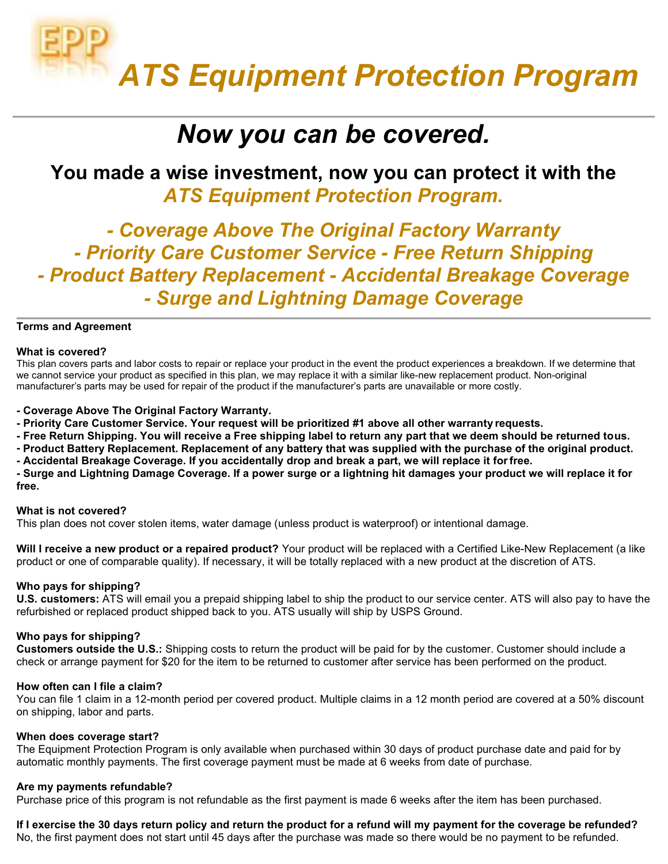# ATS Equipment Protection Program

### Now you can be covered.

### You made a wise investment, now you can protect it with the ATS Equipment Protection Program.

- Coverage Above The Original Factory Warranty - Priority Care Customer Service - Free Return Shipping - Product Battery Replacement - Accidental Breakage Coverage - Surge and Lightning Damage Coverage

#### Terms and Agreement

#### What is covered?

This plan covers parts and labor costs to repair or replace your product in the event the product experiences a breakdown. If we determine that we cannot service your product as specified in this plan, we may replace it with a similar like-new replacement product. Non-original manufacturer's parts may be used for repair of the product if the manufacturer's parts are unavailable or more costly.

- Coverage Above The Original Factory Warranty.

- Priority Care Customer Service. Your request will be prioritized #1 above all other warranty requests.
- Free Return Shipping. You will receive a Free shipping label to return any part that we deem should be returned to us.
- Product Battery Replacement. Replacement of any battery that was supplied with the purchase of the original product.
- Accidental Breakage Coverage. If you accidentally drop and break a part, we will replace it for free.

- Surge and Lightning Damage Coverage. If a power surge or a lightning hit damages your product we will replace it for free.

#### What is not covered?

This plan does not cover stolen items, water damage (unless product is waterproof) or intentional damage.

Will I receive a new product or a repaired product? Your product will be replaced with a Certified Like-New Replacement (a like product or one of comparable quality). If necessary, it will be totally replaced with a new product at the discretion of ATS.

#### Who pays for shipping?

U.S. customers: ATS will email you a prepaid shipping label to ship the product to our service center. ATS will also pay to have the refurbished or replaced product shipped back to you. ATS usually will ship by USPS Ground.

#### Who pays for shipping?

Customers outside the U.S.: Shipping costs to return the product will be paid for by the customer. Customer should include a check or arrange payment for \$20 for the item to be returned to customer after service has been performed on the product.

#### How often can I file a claim?

You can file 1 claim in a 12-month period per covered product. Multiple claims in a 12 month period are covered at a 50% discount on shipping, labor and parts.

#### When does coverage start?

The Equipment Protection Program is only available when purchased within 30 days of product purchase date and paid for by automatic monthly payments. The first coverage payment must be made at 6 weeks from date of purchase.

#### Are my payments refundable?

Purchase price of this program is not refundable as the first payment is made 6 weeks after the item has been purchased.

If I exercise the 30 days return policy and return the product for a refund will my payment for the coverage be refunded?

No, the first payment does not start until 45 days after the purchase was made so there would be no payment to be refunded.